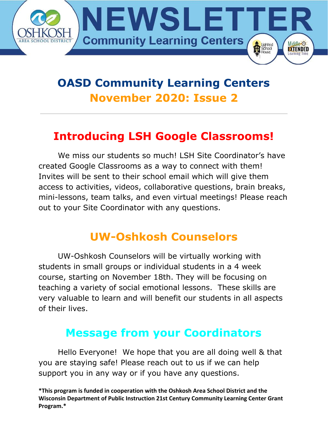

# **OASD Community Learning Centers November 2020: Issue 2**

### **Introducing LSH Google Classrooms!**

We miss our students so much! LSH Site Coordinator's have created Google Classrooms as a way to connect with them! Invites will be sent to their school email which will give them access to activities, videos, collaborative questions, brain breaks, mini-lessons, team talks, and even virtual meetings! Please reach out to your Site Coordinator with any questions.

#### **UW-Oshkosh Counselors**

UW-Oshkosh Counselors will be virtually working with students in small groups or individual students in a 4 week course, starting on November 18th. They will be focusing on teaching a variety of social emotional lessons. These skills are very valuable to learn and will benefit our students in all aspects of their lives.

#### **Message from your Coordinators**

Hello Everyone! We hope that you are all doing well & that you are staying safe! Please reach out to us if we can help support you in any way or if you have any questions.

**<sup>\*</sup>This program is funded in cooperation with the Oshkosh Area School District and the Wisconsin Department of Public Instruction 21st Century Community Learning Center Grant Program.\***